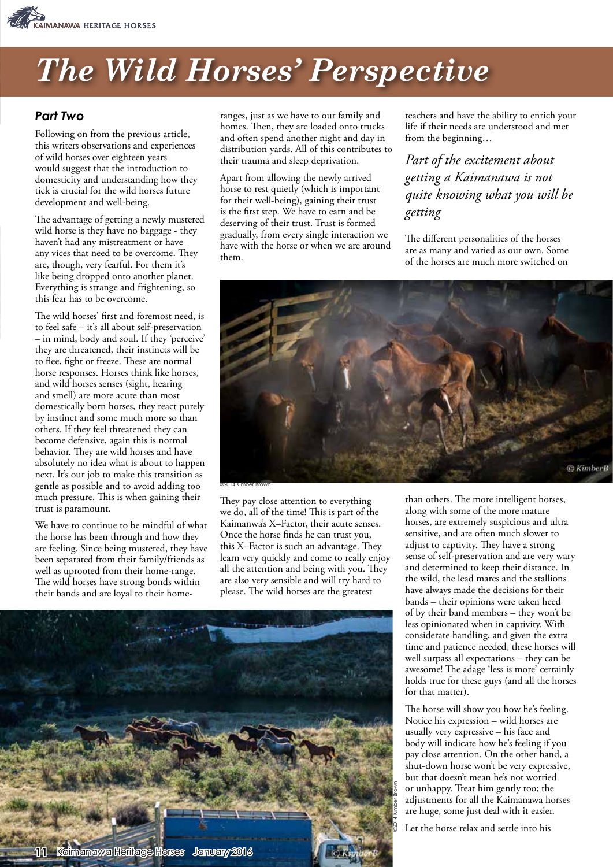

## *The Wild Horses' Perspective*

## *Part Two*

Following on from the previous article, this writers observations and experiences of wild horses over eighteen years would suggest that the introduction to domesticity and understanding how they tick is crucial for the wild horses future development and well-being.

The advantage of getting a newly mustered wild horse is they have no baggage - they haven't had any mistreatment or have any vices that need to be overcome. They are, though, very fearful. For them it's like being dropped onto another planet. Everything is strange and frightening, so this fear has to be overcome.

The wild horses' first and foremost need, is to feel safe – it's all about self-preservation – in mind, body and soul. If they 'perceive' they are threatened, their instincts will be to flee, fight or freeze. These are normal horse responses. Horses think like horses, and wild horses senses (sight, hearing and smell) are more acute than most domestically born horses, they react purely by instinct and some much more so than others. If they feel threatened they can become defensive, again this is normal behavior. They are wild horses and have absolutely no idea what is about to happen next. It's our job to make this transition as gentle as possible and to avoid adding too much pressure. This is when gaining their trust is paramount.

We have to continue to be mindful of what the horse has been through and how they are feeling. Since being mustered, they have been separated from their family/friends as well as uprooted from their home-range. The wild horses have strong bonds within their bands and are loyal to their homeranges, just as we have to our family and homes. Then, they are loaded onto trucks and often spend another night and day in distribution yards. All of this contributes to their trauma and sleep deprivation.

Apart from allowing the newly arrived horse to rest quietly (which is important for their well-being), gaining their trust is the first step. We have to earn and be deserving of their trust. Trust is formed gradually, from every single interaction we have with the horse or when we are around them.

teachers and have the ability to enrich your life if their needs are understood and met from the beginning…

*Part of the excitement about getting a Kaimanawa is not quite knowing what you will be getting*

The different personalities of the horses are as many and varied as our own. Some of the horses are much more switched on



©2014 Kimber Brown

They pay close attention to everything we do, all of the time! This is part of the Kaimanwa's X–Factor, their acute senses. Once the horse finds he can trust you, this X–Factor is such an advantage. They learn very quickly and come to really enjoy all the attention and being with you. They are also very sensible and will try hard to please. The wild horses are the greatest



than others. The more intelligent horses, along with some of the more mature horses, are extremely suspicious and ultra sensitive, and are often much slower to adjust to captivity. They have a strong sense of self-preservation and are very wary and determined to keep their distance. In the wild, the lead mares and the stallions have always made the decisions for their bands – their opinions were taken heed of by their band members – they won't be less opinionated when in captivity. With considerate handling, and given the extra time and patience needed, these horses will well surpass all expectations – they can be awesome! The adage 'less is more' certainly holds true for these guys (and all the horses for that matter).

The horse will show you how he's feeling. Notice his expression – wild horses are usually very expressive – his face and body will indicate how he's feeling if you pay close attention. On the other hand, a shut-down horse won't be very expressive, but that doesn't mean he's not worried or unhappy. Treat him gently too; the adjustments for all the Kaimanawa horses are huge, some just deal with it easier.

Let the horse relax and settle into his